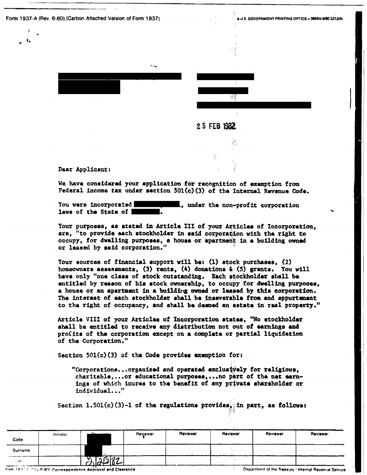Form 1937-A (Rev. 6-80) (Carbon Attached Version of Form 1937).

A U.S. GOVERNMENT PRINTING OFFICE- 3956M 600 321-356



## 25 FEB 1982

Dear Applicant:

We have considered your application for recognition of exemption from Federal income tax under section 501(c)(3) of the Internal Revenue Code.

You were incorporated some the non-profit corporation laws of the State of

Your purposes, as stated in Article III of your Articles of Incorporation. are, "to provide each stockholder in said corporation with the right to occupy, for dwalling purposes, a house or apartment in a building owned or leased by said corporation."

Your sources of financial support will be: (1) stock purchases, (2) homeowners assessments, (3) rents, (4) donations  $\phi_i(5)$  grants. You will have only "one class of stock outstanding. Each stockholder shall be entitled by reason of his stock ownership, to occupy for dwelling purposes, a house or an apartment in a building owned or leased by this corporation. The interest of each stockholder shall be inseverable from and appurtement to the right of occupancy, and shall be deemed an estate in real property."

Article VIII of your Articles of Incorporation states, "No stockholder shall be entitled to receive any distribution not out of earnings and profits of the corporation except on a complete or partial liquidation of the Corporation."

Section  $501(c)(3)$  of the Code provides exemption for:

"Corporations...organized and operated exclusively for religious. charitable,... or educational purposes,... no part of the net earnings of which inures to the benefit of any private shareholder or individual..."

Section 1.501(c)(3)-1 of the regulations provides, in part, as follows:

| Code      | Initiator | <u> Damaras —</u>                                                     | Reviewer | Reviewer | Reviewer | Reviewer | Reviewer                                              |
|-----------|-----------|-----------------------------------------------------------------------|----------|----------|----------|----------|-------------------------------------------------------|
| Surname   |           |                                                                       |          |          |          |          |                                                       |
| $10^{-1}$ |           | 7582                                                                  |          |          |          |          |                                                       |
|           |           | <b>Com 1931 4. Co.L. 6-80). Correspondence Annroval and Clearance</b> |          |          |          |          | Department of the Treasury / Internal Revenue Service |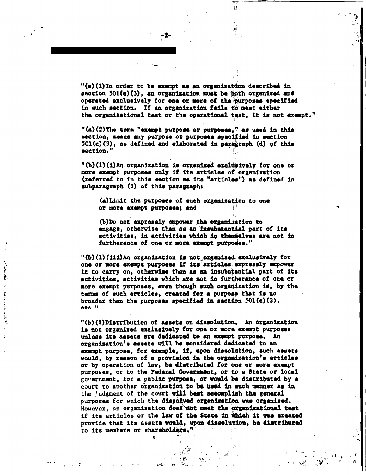"(a)(1)In order to be exempt as an organization described in section 501(c)(3), an organization must be both organized and operated exclusively for one or more of the purposes specified in such section. If an organization fails to meet either the organizational test or the operational test, it is not exempt."

ïŧ

"(a)(2)The term "exampt purpose or purposes." as used in this section, means any purpose or purposes specified in section  $501(c)(3)$ , as defined and elaborated in paragraph (d) of this section."

-2-

"(b)(1)(i)An organization is organized exclusively for one or more exempt purposes only if its articles of organization (referred to in this section as its "articles") as defined in subparagraph (2) of this paragraph:

(a) Limit the purposes of such organization to one or more exempt purposes; and

(b)Do not expressly empower the organization to engage, otherwise than as an insubstantial part of its activities, in activities which in themselves are not in furtherance of one or more exempt purposes."

 $"$ (b)(1)(iii)An organization is not organized exclusively for one or more exempt purposes if its articles expressly empower it to carry on, otherwise than as an insubstantial part of its activities, activities which are not in furtherance of one or more exempt purposes, even though such organization is, by the terms of such articles, created for a purpose that is no broader than the purposes specified in saction 501(c)(3). 表表表 !!

ì

 $\omega$ 

t

"(b)(4)Distribution of assats on dissolution. An organization is not organized exclusively for one or more exempt purposes unless its assets are dedicated to an exempt purpose. An organization's assets will be considered dedicated to an exempt purpose, for example, if, upon dissolution, such assets would, by reason of a provision in the organization's articles or by operation of law, be distributed for one or more exempt purposes, or to the Federal Government, or to a State or local government, for a public purpose, or would be distributed by a court to another organization to be used in such manner as in the judgment of the court will best accomplish the general purposes for which the dissolved organization was organized. However, an organization does not meet the organizational test if its articles or the law of the State in which it was created provide that its assets would, upon dissolution, be distributed to its members or shareholders."

> $\mathcal{N}^{\mathcal{M}}$ يكافيه

 $\mathcal{L}(\mathcal{H}_{\mathrm{c}})$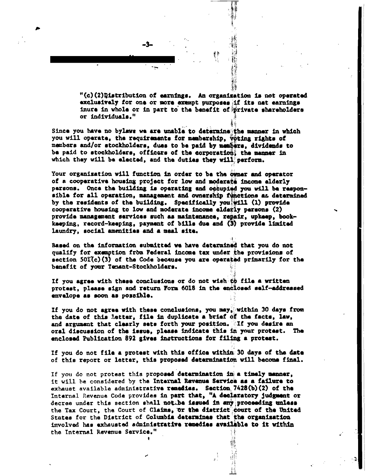"(c)(2)Distribution of earnings. An organization is not operated exclusively for one or more exempt purposes if its net earnings inure in whole or in part to the benefit of private shareholders or individuals."

Since you have no bylaws we are unable to determine the manner in which you will operate, the requirements for membership, voting rights of members and/or stockholders, dues to be paid by members, dividends to be paid to stockholders, officers of the corporation; the manner in which they will be elected, and the duties they will perform.

Your organization will function in order to be the owner and operator of a cooperative housing project for low and moderate income elderly parsons. Once the building is operating and occupied you will be responsible for all operation, management and ownership functions at determined by the residents of the building. Specifically you will (1) provide cooperative housing to low and moderate income elderly persons (2) provide management services such as maintenance, repair, upkeep, bookkaeping, record-keeping, payment of bills due and (3) provide limited laundry, social amenities and a meal site.

Based on the information submitted we have determined that you do not qualify for exemption from Federal income tax under the provisions of section 501(c)(3) of the Code because you are operated primarily for the benefit of your Temant-Stockholders.

If you agree with these conclusions or do not wish to file a written protest, please sign and return Form 6018 in the enclosed self-addressed envelope as soon as possible.

If you do not agree with these conclusions, you may, within 30 days from the date of this letter, file in duplicate a brief of the facts, law, and argument that clearly sets forth your position. If you desire an oral discussion of the issue, please indicate this in your protest. The enclosed Publication 892 gives instructions for filing a protest.

If you do not file a protest with this office within: 30 days of the date of this report or latter, this proposed determination will become final.

If you do not protest this proposed determination in a timely manner, it will be considered by the Internal Revenue Service as a failure to exhaust available administrative remedies. Section 7428(b)(2) of the Internal Revenue Code provides in part that, "A declaratory judgment or decree under this section shall not be issued in any proceeding unless the Tax Court, the Court of Claims, or the district court of the United States for the District of Columbia determines that the organisation involved has exhausted administrative remedies available to it within the Internal Revenue Service."